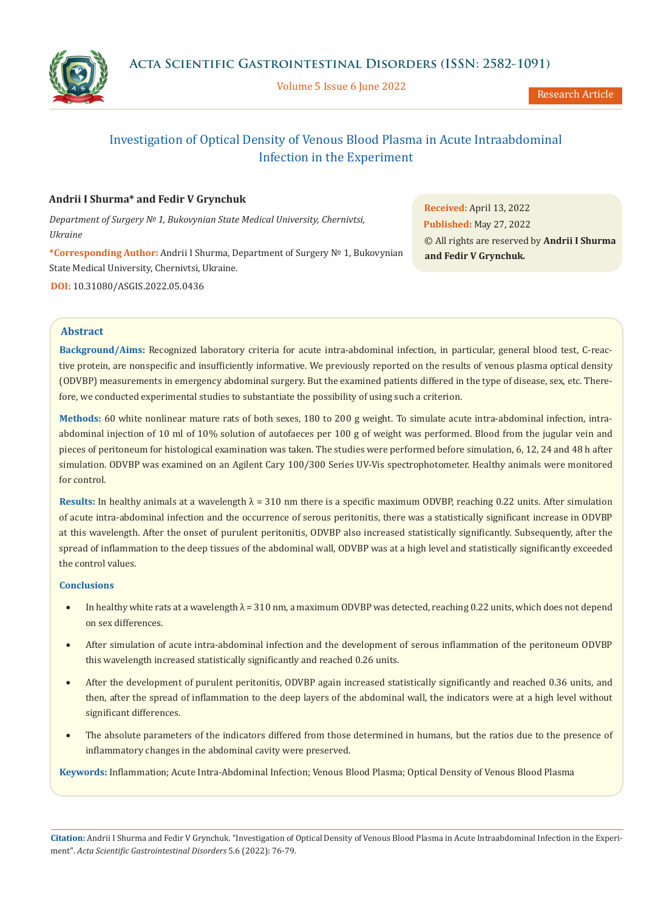

Volume 5 Issue 6 June 2022

Research Article

# Investigation of Optical Density of Venous Blood Plasma in Acute Intraabdominal Infection in the Experiment

# **Andrii I Shurma\* and Fedir V Grynchuk**

*Department of Surgery № 1, Bukovynian State Medical University, Chernivtsi, Ukraine*

**\*Corresponding Author:** Andrii I Shurma, Department of Surgery № 1, Bukovynian State Medical University, Chernivtsi, Ukraine.

**DOI:** [10.31080/ASGIS.2022.05.0436](https://actascientific.com/ASGIS/pdf/ASGIS-05-0436.pdf)

**Received:** April 13, 2022 **Published:** May 27, 2022 © All rights are reserved by **Andrii I Shurma and Fedir V Grynchuk***.*

# **Abstract**

**Background/Aims:** Recognized laboratory criteria for acute intra-abdominal infection, in particular, general blood test, C-reactive protein, are nonspecific and insufficiently informative. We previously reported on the results of venous plasma optical density (ODVBP) measurements in emergency abdominal surgery. But the examined patients differed in the type of disease, sex, etc. Therefore, we conducted experimental studies to substantiate the possibility of using such a criterion.

**Methods:** 60 white nonlinear mature rats of both sexes, 180 to 200 g weight. To simulate acute intra-abdominal infection, intraabdominal injection of 10 ml of 10% solution of autofaeces per 100 g of weight was performed. Blood from the jugular vein and pieces of peritoneum for histological examination was taken. The studies were performed before simulation, 6, 12, 24 and 48 h after simulation. ODVBP was examined on an Agilent Cary 100/300 Series UV-Vis spectrophotometer. Healthy animals were monitored for control.

**Results:** In healthy animals at a wavelength  $\lambda = 310$  nm there is a specific maximum ODVBP, reaching 0.22 units. After simulation of acute intra-abdominal infection and the occurrence of serous peritonitis, there was a statistically significant increase in ODVBP at this wavelength. After the onset of purulent peritonitis, ODVBP also increased statistically significantly. Subsequently, after the spread of inflammation to the deep tissues of the abdominal wall, ODVBP was at a high level and statistically significantly exceeded the control values.

# **Conclusions**

- In healthy white rats at a wavelength  $\lambda = 310$  nm, a maximum ODVBP was detected, reaching 0.22 units, which does not depend on sex differences.
- After simulation of acute intra-abdominal infection and the development of serous inflammation of the peritoneum ODVBP this wavelength increased statistically significantly and reached 0.26 units.
- After the development of purulent peritonitis, ODVBP again increased statistically significantly and reached 0.36 units, and then, after the spread of inflammation to the deep layers of the abdominal wall, the indicators were at a high level without significant differences.
- The absolute parameters of the indicators differed from those determined in humans, but the ratios due to the presence of inflammatory changes in the abdominal cavity were preserved.

**Keywords:** Inflammation; Acute Intra-Abdominal Infection; Venous Blood Plasma; Optical Density of Venous Blood Plasma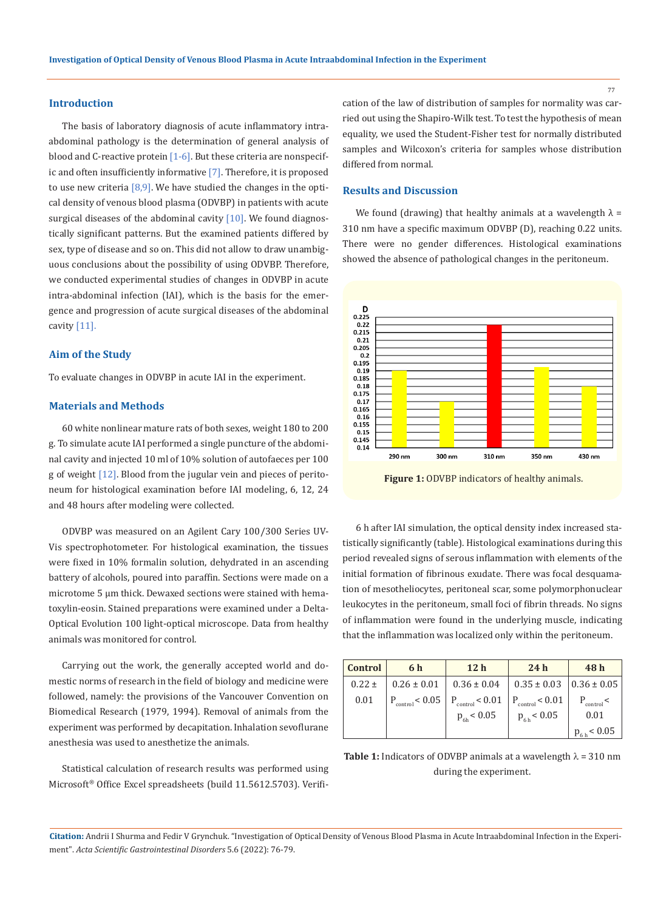#### **Introduction**

The basis of laboratory diagnosis of acute inflammatory intraabdominal pathology is the determination of general analysis of blood and C-reactive protein  $[1-6]$ . But these criteria are nonspecific and often insufficiently informative [7]. Therefore, it is proposed to use new criteria  $[8, 9]$ . We have studied the changes in the optical density of venous blood plasma (ODVBP) in patients with acute surgical diseases of the abdominal cavity  $[10]$ . We found diagnostically significant patterns. But the examined patients differed by sex, type of disease and so on. This did not allow to draw unambiguous conclusions about the possibility of using ODVBP. Therefore, we conducted experimental studies of changes in ODVBP in acute intra-abdominal infection (IAI), which is the basis for the emergence and progression of acute surgical diseases of the abdominal cavity [11].

#### **Aim of the Study**

To evaluate changes in ODVBP in acute IAI in the experiment.

# **Materials and Methods**

60 white nonlinear mature rats of both sexes, weight 180 to 200 g. To simulate acute IAI performed a single puncture of the abdominal cavity and injected 10 ml of 10% solution of autofaeces per 100 g of weight [12]. Blood from the jugular vein and pieces of peritoneum for histological examination before IAI modeling, 6, 12, 24 and 48 hours after modeling were collected.

ODVBP was measured on an Agilent Cary 100/300 Series UV-Vis spectrophotometer. For histological examination, the tissues were fixed in 10% formalin solution, dehydrated in an ascending battery of alcohols, poured into paraffin. Sections were made on a microtome 5 μm thick. Dewaxed sections were stained with hematoxylin-eosin. Stained preparations were examined under a Delta-Optical Evolution 100 light-optical microscope. Data from healthy animals was monitored for control.

Carrying out the work, the generally accepted world and domestic norms of research in the field of biology and medicine were followed, namely: the provisions of the Vancouver Convention on Biomedical Research (1979, 1994). Removal of animals from the experiment was performed by decapitation. Inhalation sevoflurane anesthesia was used to anesthetize the animals.

Statistical calculation of research results was performed using Microsoft® Office Excel spreadsheets (build 11.5612.5703). Verification of the law of distribution of samples for normality was carried out using the Shapiro-Wilk test. To test the hypothesis of mean equality, we used the Student-Fisher test for normally distributed samples and Wilcoxon's criteria for samples whose distribution differed from normal.

#### **Results and Discussion**

We found (drawing) that healthy animals at a wavelength  $\lambda =$ 310 nm have a specific maximum ODVBP (D), reaching 0.22 units. There were no gender differences. Histological examinations showed the absence of pathological changes in the peritoneum.



Figure 1: ODVBP indicators of healthy animals.

6 h after IAI simulation, the optical density index increased statistically significantly (table). Histological examinations during this period revealed signs of serous inflammation with elements of the initial formation of fibrinous exudate. There was focal desquamation of mesotheliocytes, peritoneal scar, some polymorphonuclear leukocytes in the peritoneum, small foci of fibrin threads. No signs of inflammation were found in the underlying muscle, indicating that the inflammation was localized only within the peritoneum.

| <b>Control</b> | 6 h                         | 12 <sub>h</sub>             | 24h                                     | 48h             |
|----------------|-----------------------------|-----------------------------|-----------------------------------------|-----------------|
| $0.22 \pm$     | $0.26 \pm 0.01$             | $0.36 \pm 0.04$             | $0.35 \pm 0.03$ $\vert$ 0.36 $\pm$ 0.05 |                 |
| 0.01           | $P_{\text{control}}$ < 0.05 | $P_{\text{control}}$ < 0.01 | $P_{\text{control}}$ < 0.01             | $P_{control}$ < |
|                |                             | $p_{\rm 6h}$ < 0.05         | $p_{6h}$ < 0.05                         | 0.01            |
|                |                             |                             |                                         | $p_{6h}$ < 0.05 |

**Table 1:** Indicators of ODVBP animals at a wavelength  $\lambda = 310$  nm during the experiment.

**Citation:** Andrii I Shurma and Fedir V Grynchuk*.* "Investigation of Optical Density of Venous Blood Plasma in Acute Intraabdominal Infection in the Experiment". *Acta Scientific Gastrointestinal Disorders* 5.6 (2022): 76-79.

77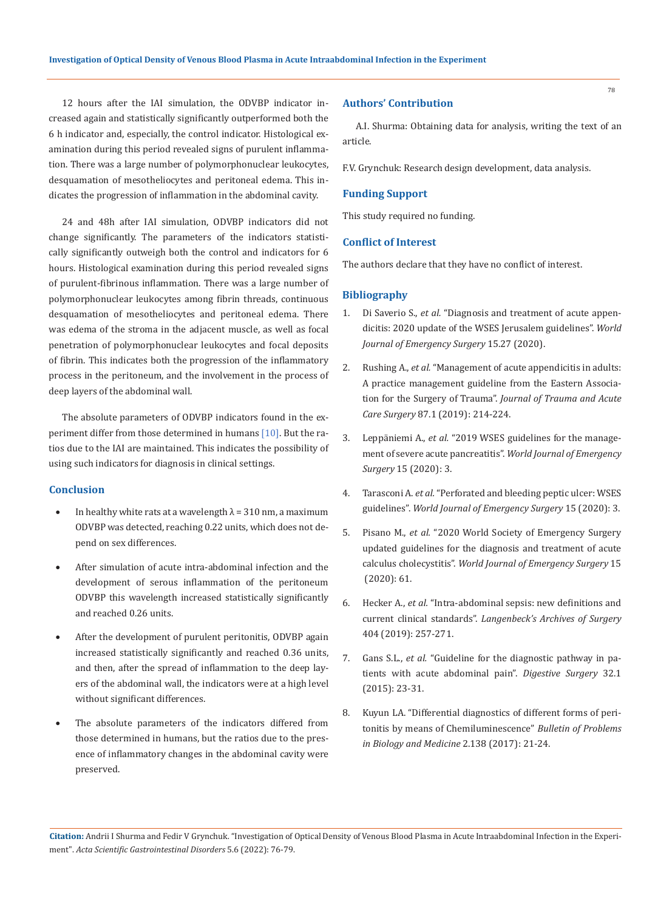12 hours after the IAI simulation, the ODVBP indicator increased again and statistically significantly outperformed both the 6 h indicator and, especially, the control indicator. Histological examination during this period revealed signs of purulent inflammation. There was a large number of polymorphonuclear leukocytes, desquamation of mesotheliocytes and peritoneal edema. This indicates the progression of inflammation in the abdominal cavity.

24 and 48h after IAI simulation, ODVBP indicators did not change significantly. The parameters of the indicators statistically significantly outweigh both the control and indicators for 6 hours. Histological examination during this period revealed signs of purulent-fibrinous inflammation. There was a large number of polymorphonuclear leukocytes among fibrin threads, continuous desquamation of mesotheliocytes and peritoneal edema. There was edema of the stroma in the adjacent muscle, as well as focal penetration of polymorphonuclear leukocytes and focal deposits of fibrin. This indicates both the progression of the inflammatory process in the peritoneum, and the involvement in the process of deep layers of the abdominal wall.

The absolute parameters of ODVBP indicators found in the experiment differ from those determined in humans [10]. But the ratios due to the IAI are maintained. This indicates the possibility of using such indicators for diagnosis in clinical settings.

# **Conclusion**

- In healthy white rats at a wavelength  $\lambda = 310$  nm, a maximum ODVBP was detected, reaching 0.22 units, which does not depend on sex differences.
- After simulation of acute intra-abdominal infection and the development of serous inflammation of the peritoneum ODVBP this wavelength increased statistically significantly and reached 0.26 units.
- After the development of purulent peritonitis, ODVBP again increased statistically significantly and reached 0.36 units, and then, after the spread of inflammation to the deep layers of the abdominal wall, the indicators were at a high level without significant differences.
- The absolute parameters of the indicators differed from those determined in humans, but the ratios due to the presence of inflammatory changes in the abdominal cavity were preserved.

# **Authors' Contribution**

A.I. Shurma: Obtaining data for analysis, writing the text of an article.

F.V. Grynchuk: Research design development, data analysis.

# **Funding Support**

This study required no funding.

# **Conflict of Interest**

The authors declare that they have no conflict of interest.

#### **Bibliography**

- 1. Di Saverio S., *et al.* ["Diagnosis and treatment of acute appen](https://pubmed.ncbi.nlm.nih.gov/32295644/)[dicitis: 2020 update of the WSES Jerusalem guidelines".](https://pubmed.ncbi.nlm.nih.gov/32295644/) *World [Journal of Emergency Surgery](https://pubmed.ncbi.nlm.nih.gov/32295644/)* 15.27 (2020).
- 2. Rushing A., *et al.* ["Management of acute appendicitis in adults:](https://pubmed.ncbi.nlm.nih.gov/30908453/) [A practice management guideline from the Eastern Associa](https://pubmed.ncbi.nlm.nih.gov/30908453/)tion for the Surgery of Trauma". *[Journal of Trauma and Acute](https://pubmed.ncbi.nlm.nih.gov/30908453/) Care Surgery* [87.1 \(2019\): 214-224.](https://pubmed.ncbi.nlm.nih.gov/30908453/)
- 3. Leppäniemi A., *et al.* ["2019 WSES guidelines for the manage](https://pubmed.ncbi.nlm.nih.gov/31210778/)[ment of severe acute pancreatitis".](https://pubmed.ncbi.nlm.nih.gov/31210778/) *World Journal of Emergency Surgery* [15 \(2020\): 3.](https://pubmed.ncbi.nlm.nih.gov/31210778/)
- 4. Tarasconi A. *et al.* ["Perforated and bleeding peptic ulcer: WSES](https://pubmed.ncbi.nlm.nih.gov/31921329/) guidelines". *[World Journal of Emergency Surgery](https://pubmed.ncbi.nlm.nih.gov/31921329/)* 15 (2020): 3.
- 5. Pisano M., *et al.* ["2020 World Society of Emergency Surgery](https://pubmed.ncbi.nlm.nih.gov/33153472/) [updated guidelines for the diagnosis and treatment of acute](https://pubmed.ncbi.nlm.nih.gov/33153472/) calculus cholecystitis". *[World Journal of Emergency Surgery](https://pubmed.ncbi.nlm.nih.gov/33153472/)* 15  [\(2020\): 61.](https://pubmed.ncbi.nlm.nih.gov/33153472/)
- 6. Hecker A., *et al.* ["Intra-abdominal sepsis: new definitions and](https://pubmed.ncbi.nlm.nih.gov/30685836/) current clinical standards". *[Langenbeck's Archives of Surgery](https://pubmed.ncbi.nlm.nih.gov/30685836/)*  [404 \(2019\): 257-271.](https://pubmed.ncbi.nlm.nih.gov/30685836/)
- 7. Gans S.L., *et al.* ["Guideline for the diagnostic pathway in pa](https://pubmed.ncbi.nlm.nih.gov/25659265/)[tients with acute abdominal pain".](https://pubmed.ncbi.nlm.nih.gov/25659265/) *Digestive Surgery* 32.1 [\(2015\): 23-31.](https://pubmed.ncbi.nlm.nih.gov/25659265/)
- 8. Kuyun LA. "Differential diagnostics of different forms of peritonitis by means of Chemiluminescence" *Bulletin of Problems in Biology and Medicine* 2.138 (2017): 21-24.

**Citation:** Andrii I Shurma and Fedir V Grynchuk*.* "Investigation of Optical Density of Venous Blood Plasma in Acute Intraabdominal Infection in the Experiment". *Acta Scientific Gastrointestinal Disorders* 5.6 (2022): 76-79.